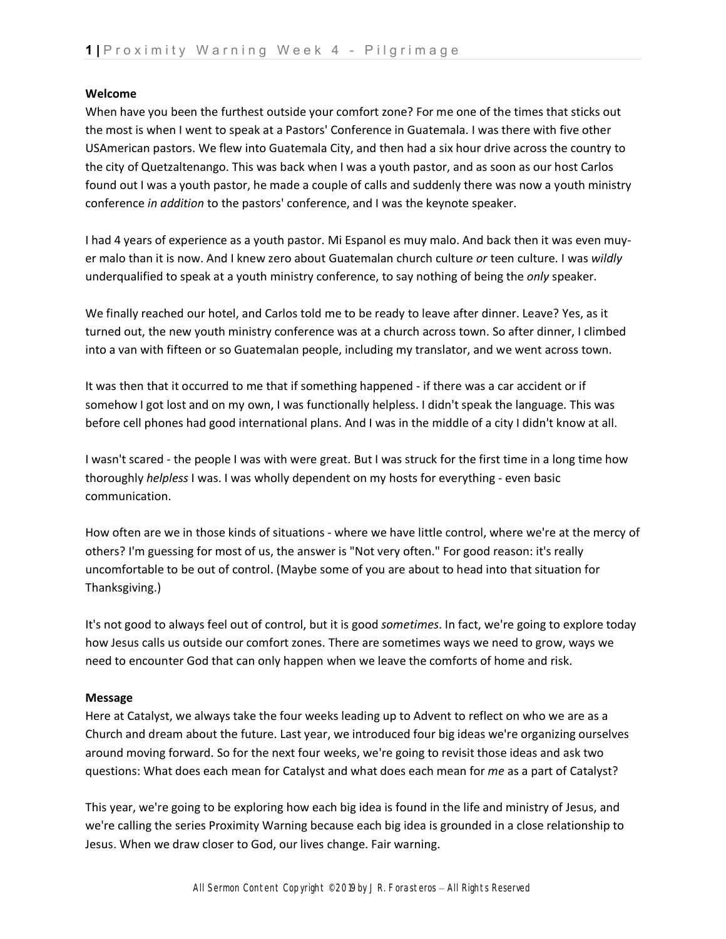## **Welcome**

When have you been the furthest outside your comfort zone? For me one of the times that sticks out the most is when I went to speak at a Pastors' Conference in Guatemala. I was there with five other USAmerican pastors. We flew into Guatemala City, and then had a six hour drive across the country to the city of Quetzaltenango. This was back when I was a youth pastor, and as soon as our host Carlos found out I was a youth pastor, he made a couple of calls and suddenly there was now a youth ministry conference *in addition* to the pastors' conference, and I was the keynote speaker.

I had 4 years of experience as a youth pastor. Mi Espanol es muy malo. And back then it was even muyer malo than it is now. And I knew zero about Guatemalan church culture *or* teen culture. I was *wildly*  underqualified to speak at a youth ministry conference, to say nothing of being the *only* speaker.

We finally reached our hotel, and Carlos told me to be ready to leave after dinner. Leave? Yes, as it turned out, the new youth ministry conference was at a church across town. So after dinner, I climbed into a van with fifteen or so Guatemalan people, including my translator, and we went across town.

It was then that it occurred to me that if something happened - if there was a car accident or if somehow I got lost and on my own, I was functionally helpless. I didn't speak the language. This was before cell phones had good international plans. And I was in the middle of a city I didn't know at all.

I wasn't scared - the people I was with were great. But I was struck for the first time in a long time how thoroughly *helpless* I was. I was wholly dependent on my hosts for everything - even basic communication.

How often are we in those kinds of situations - where we have little control, where we're at the mercy of others? I'm guessing for most of us, the answer is "Not very often." For good reason: it's really uncomfortable to be out of control. (Maybe some of you are about to head into that situation for Thanksgiving.)

It's not good to always feel out of control, but it is good *sometimes*. In fact, we're going to explore today how Jesus calls us outside our comfort zones. There are sometimes ways we need to grow, ways we need to encounter God that can only happen when we leave the comforts of home and risk.

## **Message**

Here at Catalyst, we always take the four weeks leading up to Advent to reflect on who we are as a Church and dream about the future. Last year, we introduced four big ideas we're organizing ourselves around moving forward. So for the next four weeks, we're going to revisit those ideas and ask two questions: What does each mean for Catalyst and what does each mean for *me* as a part of Catalyst?

This year, we're going to be exploring how each big idea is found in the life and ministry of Jesus, and we're calling the series Proximity Warning because each big idea is grounded in a close relationship to Jesus. When we draw closer to God, our lives change. Fair warning.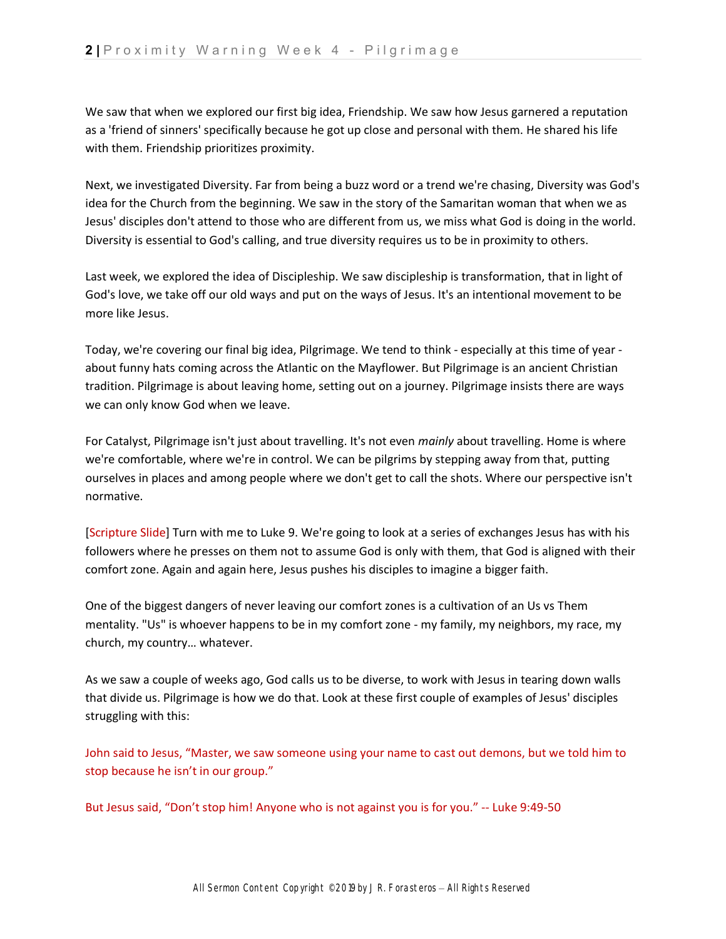We saw that when we explored our first big idea, Friendship. We saw how Jesus garnered a reputation as a 'friend of sinners' specifically because he got up close and personal with them. He shared his life with them. Friendship prioritizes proximity.

Next, we investigated Diversity. Far from being a buzz word or a trend we're chasing, Diversity was God's idea for the Church from the beginning. We saw in the story of the Samaritan woman that when we as Jesus' disciples don't attend to those who are different from us, we miss what God is doing in the world. Diversity is essential to God's calling, and true diversity requires us to be in proximity to others.

Last week, we explored the idea of Discipleship. We saw discipleship is transformation, that in light of God's love, we take off our old ways and put on the ways of Jesus. It's an intentional movement to be more like Jesus.

Today, we're covering our final big idea, Pilgrimage. We tend to think - especially at this time of year about funny hats coming across the Atlantic on the Mayflower. But Pilgrimage is an ancient Christian tradition. Pilgrimage is about leaving home, setting out on a journey. Pilgrimage insists there are ways we can only know God when we leave.

For Catalyst, Pilgrimage isn't just about travelling. It's not even *mainly* about travelling. Home is where we're comfortable, where we're in control. We can be pilgrims by stepping away from that, putting ourselves in places and among people where we don't get to call the shots. Where our perspective isn't normative.

[Scripture Slide] Turn with me to Luke 9. We're going to look at a series of exchanges Jesus has with his followers where he presses on them not to assume God is only with them, that God is aligned with their comfort zone. Again and again here, Jesus pushes his disciples to imagine a bigger faith.

One of the biggest dangers of never leaving our comfort zones is a cultivation of an Us vs Them mentality. "Us" is whoever happens to be in my comfort zone - my family, my neighbors, my race, my church, my country… whatever.

As we saw a couple of weeks ago, God calls us to be diverse, to work with Jesus in tearing down walls that divide us. Pilgrimage is how we do that. Look at these first couple of examples of Jesus' disciples struggling with this:

John said to Jesus, "Master, we saw someone using your name to cast out demons, but we told him to stop because he isn't in our group."

But Jesus said, "Don't stop him! Anyone who is not against you is for you." -- Luke 9:49-50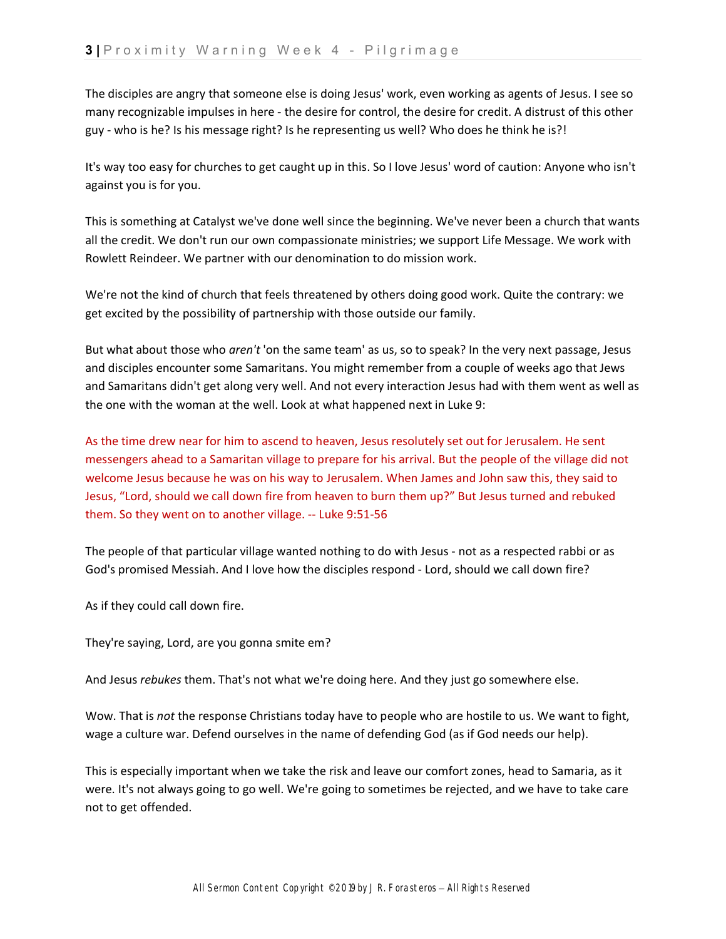The disciples are angry that someone else is doing Jesus' work, even working as agents of Jesus. I see so many recognizable impulses in here - the desire for control, the desire for credit. A distrust of this other guy - who is he? Is his message right? Is he representing us well? Who does he think he is?!

It's way too easy for churches to get caught up in this. So I love Jesus' word of caution: Anyone who isn't against you is for you.

This is something at Catalyst we've done well since the beginning. We've never been a church that wants all the credit. We don't run our own compassionate ministries; we support Life Message. We work with Rowlett Reindeer. We partner with our denomination to do mission work.

We're not the kind of church that feels threatened by others doing good work. Quite the contrary: we get excited by the possibility of partnership with those outside our family.

But what about those who *aren't* 'on the same team' as us, so to speak? In the very next passage, Jesus and disciples encounter some Samaritans. You might remember from a couple of weeks ago that Jews and Samaritans didn't get along very well. And not every interaction Jesus had with them went as well as the one with the woman at the well. Look at what happened next in Luke 9:

As the time drew near for him to ascend to heaven, Jesus resolutely set out for Jerusalem. He sent messengers ahead to a Samaritan village to prepare for his arrival. But the people of the village did not welcome Jesus because he was on his way to Jerusalem. When James and John saw this, they said to Jesus, "Lord, should we call down fire from heaven to burn them up?" But Jesus turned and rebuked them. So they went on to another village. -- Luke 9:51-56

The people of that particular village wanted nothing to do with Jesus - not as a respected rabbi or as God's promised Messiah. And I love how the disciples respond - Lord, should we call down fire?

As if they could call down fire.

They're saying, Lord, are you gonna smite em?

And Jesus *rebukes* them. That's not what we're doing here. And they just go somewhere else.

Wow. That is *not* the response Christians today have to people who are hostile to us. We want to fight, wage a culture war. Defend ourselves in the name of defending God (as if God needs our help).

This is especially important when we take the risk and leave our comfort zones, head to Samaria, as it were. It's not always going to go well. We're going to sometimes be rejected, and we have to take care not to get offended.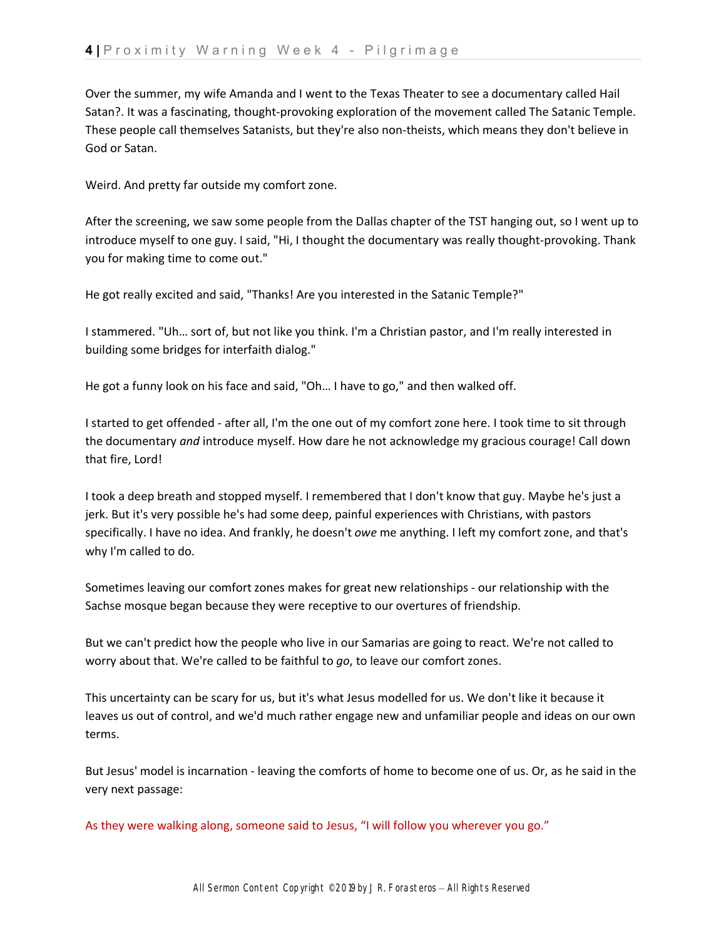Over the summer, my wife Amanda and I went to the Texas Theater to see a documentary called Hail Satan?. It was a fascinating, thought-provoking exploration of the movement called The Satanic Temple. These people call themselves Satanists, but they're also non-theists, which means they don't believe in God or Satan.

Weird. And pretty far outside my comfort zone.

After the screening, we saw some people from the Dallas chapter of the TST hanging out, so I went up to introduce myself to one guy. I said, "Hi, I thought the documentary was really thought-provoking. Thank you for making time to come out."

He got really excited and said, "Thanks! Are you interested in the Satanic Temple?"

I stammered. "Uh… sort of, but not like you think. I'm a Christian pastor, and I'm really interested in building some bridges for interfaith dialog."

He got a funny look on his face and said, "Oh… I have to go," and then walked off.

I started to get offended - after all, I'm the one out of my comfort zone here. I took time to sit through the documentary *and* introduce myself. How dare he not acknowledge my gracious courage! Call down that fire, Lord!

I took a deep breath and stopped myself. I remembered that I don't know that guy. Maybe he's just a jerk. But it's very possible he's had some deep, painful experiences with Christians, with pastors specifically. I have no idea. And frankly, he doesn't *owe* me anything. I left my comfort zone, and that's why I'm called to do.

Sometimes leaving our comfort zones makes for great new relationships - our relationship with the Sachse mosque began because they were receptive to our overtures of friendship.

But we can't predict how the people who live in our Samarias are going to react. We're not called to worry about that. We're called to be faithful to *go*, to leave our comfort zones.

This uncertainty can be scary for us, but it's what Jesus modelled for us. We don't like it because it leaves us out of control, and we'd much rather engage new and unfamiliar people and ideas on our own terms.

But Jesus' model is incarnation - leaving the comforts of home to become one of us. Or, as he said in the very next passage:

As they were walking along, someone said to Jesus, "I will follow you wherever you go."